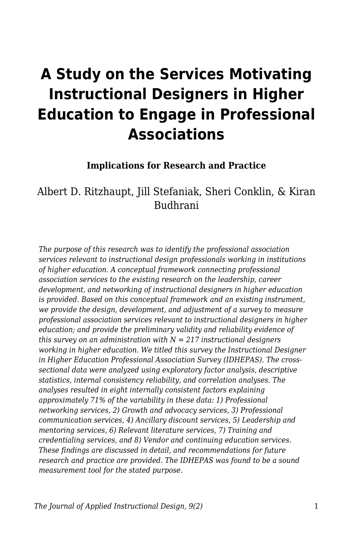# **A Study on the Services Motivating Instructional Designers in Higher Education to Engage in Professional Associations**

#### **Implications for Research and Practice**

## Albert D. Ritzhaupt, Jill Stefaniak, Sheri Conklin, & Kiran Budhrani

*The purpose of this research was to identify the professional association services relevant to instructional design professionals working in institutions of higher education. A conceptual framework connecting professional association services to the existing research on the leadership, career development, and networking of instructional designers in higher education is provided. Based on this conceptual framework and an existing instrument, we provide the design, development, and adjustment of a survey to measure professional association services relevant to instructional designers in higher education; and provide the preliminary validity and reliability evidence of this survey on an administration with N = 217 instructional designers working in higher education. We titled this survey the Instructional Designer in Higher Education Professional Association Survey (IDHEPAS). The crosssectional data were analyzed using exploratory factor analysis, descriptive statistics, internal consistency reliability, and correlation analyses. The analyses resulted in eight internally consistent factors explaining approximately 71% of the variability in these data: 1) Professional networking services, 2) Growth and advocacy services, 3) Professional communication services, 4) Ancillary discount services, 5) Leadership and mentoring services, 6) Relevant literature services, 7) Training and credentialing services, and 8) Vendor and continuing education services. These findings are discussed in detail, and recommendations for future research and practice are provided. The IDHEPAS was found to be a sound measurement tool for the stated purpose.*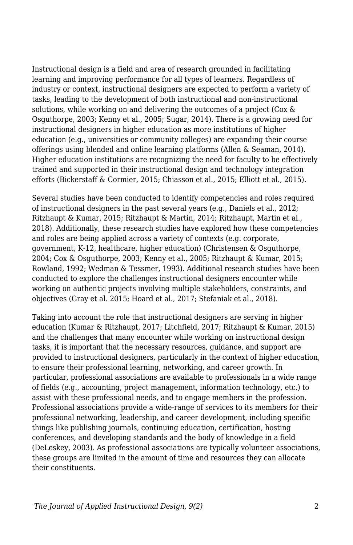Instructional design is a field and area of research grounded in facilitating learning and improving performance for all types of learners. Regardless of industry or context, instructional designers are expected to perform a variety of tasks, leading to the development of both instructional and non-instructional solutions, while working on and delivering the outcomes of a project (Cox & Osguthorpe, 2003; Kenny et al., 2005; Sugar, 2014). There is a growing need for instructional designers in higher education as more institutions of higher education (e.g., universities or community colleges) are expanding their course offerings using blended and online learning platforms (Allen & Seaman, 2014). Higher education institutions are recognizing the need for faculty to be effectively trained and supported in their instructional design and technology integration efforts (Bickerstaff & Cormier, 2015; Chiasson et al., 2015; Elliott et al., 2015).

Several studies have been conducted to identify competencies and roles required of instructional designers in the past several years (e.g., Daniels et al., 2012; Ritzhaupt & Kumar, 2015; Ritzhaupt & Martin, 2014; Ritzhaupt, Martin et al., 2018). Additionally, these research studies have explored how these competencies and roles are being applied across a variety of contexts (e.g. corporate, government, K-12, healthcare, higher education) (Christensen & Osguthorpe, 2004; Cox & Osguthorpe, 2003; Kenny et al., 2005; Ritzhaupt & Kumar, 2015; Rowland, 1992; Wedman & Tessmer, 1993). Additional research studies have been conducted to explore the challenges instructional designers encounter while working on authentic projects involving multiple stakeholders, constraints, and objectives (Gray et al. 2015; Hoard et al., 2017; Stefaniak et al., 2018).

Taking into account the role that instructional designers are serving in higher education (Kumar & Ritzhaupt, 2017; Litchfield, 2017; Ritzhaupt & Kumar, 2015) and the challenges that many encounter while working on instructional design tasks, it is important that the necessary resources, guidance, and support are provided to instructional designers, particularly in the context of higher education, to ensure their professional learning, networking, and career growth. In particular, professional associations are available to professionals in a wide range of fields (e.g., accounting, project management, information technology, etc.) to assist with these professional needs, and to engage members in the profession. Professional associations provide a wide-range of services to its members for their professional networking, leadership, and career development, including specific things like publishing journals, continuing education, certification, hosting conferences, and developing standards and the body of knowledge in a field (DeLeskey, 2003). As professional associations are typically volunteer associations, these groups are limited in the amount of time and resources they can allocate their constituents.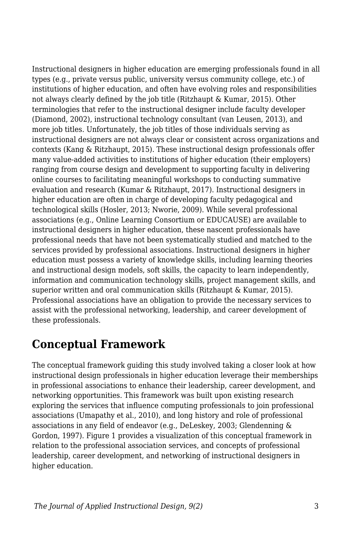Instructional designers in higher education are emerging professionals found in all types (e.g., private versus public, university versus community college, etc.) of institutions of higher education, and often have evolving roles and responsibilities not always clearly defined by the job title (Ritzhaupt & Kumar, 2015). Other terminologies that refer to the instructional designer include faculty developer (Diamond, 2002), instructional technology consultant (van Leusen, 2013), and more job titles. Unfortunately, the job titles of those individuals serving as instructional designers are not always clear or consistent across organizations and contexts (Kang & Ritzhaupt, 2015). These instructional design professionals offer many value-added activities to institutions of higher education (their employers) ranging from course design and development to supporting faculty in delivering online courses to facilitating meaningful workshops to conducting summative evaluation and research (Kumar & Ritzhaupt, 2017). Instructional designers in higher education are often in charge of developing faculty pedagogical and technological skills (Hosler, 2013; Nworie, 2009). While several professional associations (e.g., Online Learning Consortium or EDUCAUSE) are available to instructional designers in higher education, these nascent professionals have professional needs that have not been systematically studied and matched to the services provided by professional associations. Instructional designers in higher education must possess a variety of knowledge skills, including learning theories and instructional design models, soft skills, the capacity to learn independently, information and communication technology skills, project management skills, and superior written and oral communication skills (Ritzhaupt & Kumar, 2015). Professional associations have an obligation to provide the necessary services to assist with the professional networking, leadership, and career development of these professionals.

# **Conceptual Framework**

The conceptual framework guiding this study involved taking a closer look at how instructional design professionals in higher education leverage their memberships in professional associations to enhance their leadership, career development, and networking opportunities. This framework was built upon existing research exploring the services that influence computing professionals to join professional associations (Umapathy et al., 2010), and long history and role of professional associations in any field of endeavor (e.g., DeLeskey, 2003; Glendenning & Gordon, 1997). Figure 1 provides a visualization of this conceptual framework in relation to the professional association services, and concepts of professional leadership, career development, and networking of instructional designers in higher education.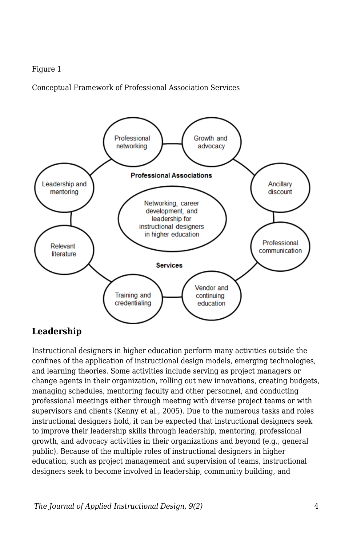#### Figure 1

Conceptual Framework of Professional Association Services



#### **Leadership**

Instructional designers in higher education perform many activities outside the confines of the application of instructional design models, emerging technologies, and learning theories. Some activities include serving as project managers or change agents in their organization, rolling out new innovations, creating budgets, managing schedules, mentoring faculty and other personnel, and conducting professional meetings either through meeting with diverse project teams or with supervisors and clients (Kenny et al., 2005). Due to the numerous tasks and roles instructional designers hold, it can be expected that instructional designers seek to improve their leadership skills through leadership, mentoring, professional growth, and advocacy activities in their organizations and beyond (e.g., general public). Because of the multiple roles of instructional designers in higher education, such as project management and supervision of teams, instructional designers seek to become involved in leadership, community building, and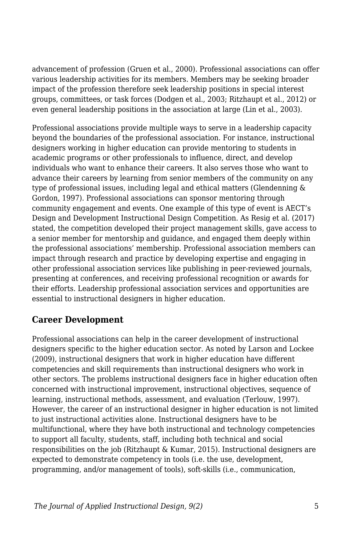advancement of profession (Gruen et al., 2000). Professional associations can offer various leadership activities for its members. Members may be seeking broader impact of the profession therefore seek leadership positions in special interest groups, committees, or task forces (Dodgen et al., 2003; Ritzhaupt et al., 2012) or even general leadership positions in the association at large (Lin et al., 2003).

Professional associations provide multiple ways to serve in a leadership capacity beyond the boundaries of the professional association. For instance, instructional designers working in higher education can provide mentoring to students in academic programs or other professionals to influence, direct, and develop individuals who want to enhance their careers. It also serves those who want to advance their careers by learning from senior members of the community on any type of professional issues, including legal and ethical matters (Glendenning & Gordon, 1997). Professional associations can sponsor mentoring through community engagement and events. One example of this type of event is AECT's Design and Development Instructional Design Competition. As Resig et al. (2017) stated, the competition developed their project management skills, gave access to a senior member for mentorship and guidance, and engaged them deeply within the professional associations' membership. Professional association members can impact through research and practice by developing expertise and engaging in other professional association services like publishing in peer-reviewed journals, presenting at conferences, and receiving professional recognition or awards for their efforts. Leadership professional association services and opportunities are essential to instructional designers in higher education.

### **Career Development**

Professional associations can help in the career development of instructional designers specific to the higher education sector. As noted by Larson and Lockee (2009), instructional designers that work in higher education have different competencies and skill requirements than instructional designers who work in other sectors. The problems instructional designers face in higher education often concerned with instructional improvement, instructional objectives, sequence of learning, instructional methods, assessment, and evaluation (Terlouw, 1997). However, the career of an instructional designer in higher education is not limited to just instructional activities alone. Instructional designers have to be multifunctional, where they have both instructional and technology competencies to support all faculty, students, staff, including both technical and social responsibilities on the job (Ritzhaupt & Kumar, 2015). Instructional designers are expected to demonstrate competency in tools (i.e. the use, development, programming, and/or management of tools), soft-skills (i.e., communication,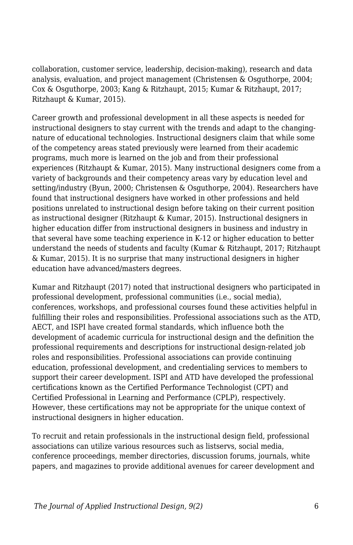collaboration, customer service, leadership, decision-making), research and data analysis, evaluation, and project management (Christensen & Osguthorpe, 2004; Cox & Osguthorpe, 2003; Kang & Ritzhaupt, 2015; Kumar & Ritzhaupt, 2017; Ritzhaupt & Kumar, 2015).

Career growth and professional development in all these aspects is needed for instructional designers to stay current with the trends and adapt to the changingnature of educational technologies. Instructional designers claim that while some of the competency areas stated previously were learned from their academic programs, much more is learned on the job and from their professional experiences (Ritzhaupt & Kumar, 2015). Many instructional designers come from a variety of backgrounds and their competency areas vary by education level and setting/industry (Byun, 2000; Christensen & Osguthorpe, 2004). Researchers have found that instructional designers have worked in other professions and held positions unrelated to instructional design before taking on their current position as instructional designer (Ritzhaupt & Kumar, 2015). Instructional designers in higher education differ from instructional designers in business and industry in that several have some teaching experience in K-12 or higher education to better understand the needs of students and faculty (Kumar & Ritzhaupt, 2017; Ritzhaupt & Kumar, 2015). It is no surprise that many instructional designers in higher education have advanced/masters degrees.

Kumar and Ritzhaupt (2017) noted that instructional designers who participated in professional development, professional communities (i.e., social media), conferences, workshops, and professional courses found these activities helpful in fulfilling their roles and responsibilities. Professional associations such as the ATD, AECT, and ISPI have created formal standards, which influence both the development of academic curricula for instructional design and the definition the professional requirements and descriptions for instructional design-related job roles and responsibilities. Professional associations can provide continuing education, professional development, and credentialing services to members to support their career development. ISPI and ATD have developed the professional certifications known as the Certified Performance Technologist (CPT) and Certified Professional in Learning and Performance (CPLP), respectively. However, these certifications may not be appropriate for the unique context of instructional designers in higher education.

To recruit and retain professionals in the instructional design field, professional associations can utilize various resources such as listservs, social media, conference proceedings, member directories, discussion forums, journals, white papers, and magazines to provide additional avenues for career development and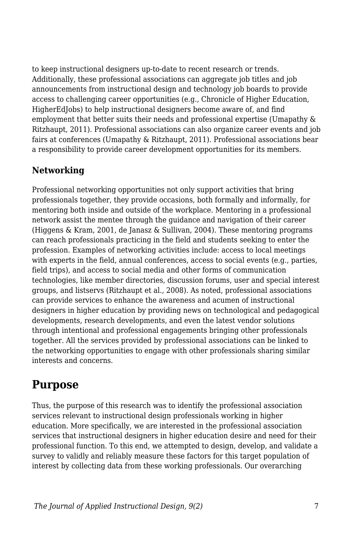to keep instructional designers up-to-date to recent research or trends. Additionally, these professional associations can aggregate job titles and job announcements from instructional design and technology job boards to provide access to challenging career opportunities (e.g., Chronicle of Higher Education, HigherEdJobs) to help instructional designers become aware of, and find employment that better suits their needs and professional expertise (Umapathy & Ritzhaupt, 2011). Professional associations can also organize career events and job fairs at conferences (Umapathy & Ritzhaupt, 2011). Professional associations bear a responsibility to provide career development opportunities for its members.

## **Networking**

Professional networking opportunities not only support activities that bring professionals together, they provide occasions, both formally and informally, for mentoring both inside and outside of the workplace. Mentoring in a professional network assist the mentee through the guidance and navigation of their career (Higgens & Kram, 2001, de Janasz & Sullivan, 2004). These mentoring programs can reach professionals practicing in the field and students seeking to enter the profession. Examples of networking activities include: access to local meetings with experts in the field, annual conferences, access to social events (e.g., parties, field trips), and access to social media and other forms of communication technologies, like member directories, discussion forums, user and special interest groups, and listservs (Ritzhaupt et al., 2008). As noted, professional associations can provide services to enhance the awareness and acumen of instructional designers in higher education by providing news on technological and pedagogical developments, research developments, and even the latest vendor solutions through intentional and professional engagements bringing other professionals together. All the services provided by professional associations can be linked to the networking opportunities to engage with other professionals sharing similar interests and concerns.

## **Purpose**

Thus, the purpose of this research was to identify the professional association services relevant to instructional design professionals working in higher education. More specifically, we are interested in the professional association services that instructional designers in higher education desire and need for their professional function. To this end, we attempted to design, develop, and validate a survey to validly and reliably measure these factors for this target population of interest by collecting data from these working professionals. Our overarching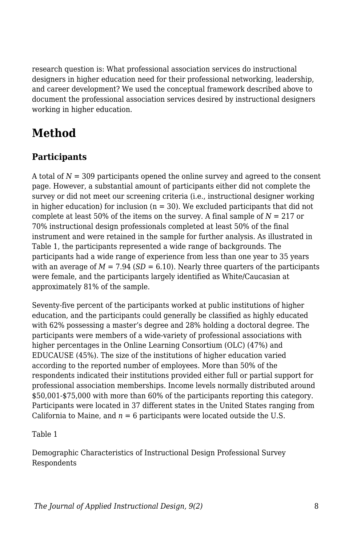research question is: What professional association services do instructional designers in higher education need for their professional networking, leadership, and career development? We used the conceptual framework described above to document the professional association services desired by instructional designers working in higher education.

# **Method**

## **Participants**

A total of *N* = 309 participants opened the online survey and agreed to the consent page. However, a substantial amount of participants either did not complete the survey or did not meet our screening criteria (i.e., instructional designer working in higher education) for inclusion  $(n = 30)$ . We excluded participants that did not complete at least 50% of the items on the survey. A final sample of  $N = 217$  or 70% instructional design professionals completed at least 50% of the final instrument and were retained in the sample for further analysis. As illustrated in Table 1, the participants represented a wide range of backgrounds. The participants had a wide range of experience from less than one year to 35 years with an average of  $M = 7.94$  ( $SD = 6.10$ ). Nearly three quarters of the participants were female, and the participants largely identified as White/Caucasian at approximately 81% of the sample.

Seventy-five percent of the participants worked at public institutions of higher education, and the participants could generally be classified as highly educated with 62% possessing a master's degree and 28% holding a doctoral degree. The participants were members of a wide-variety of professional associations with higher percentages in the Online Learning Consortium (OLC) (47%) and EDUCAUSE (45%). The size of the institutions of higher education varied according to the reported number of employees. More than 50% of the respondents indicated their institutions provided either full or partial support for professional association memberships. Income levels normally distributed around \$50,001-\$75,000 with more than 60% of the participants reporting this category. Participants were located in 37 different states in the United States ranging from California to Maine, and  $n = 6$  participants were located outside the U.S.

Table 1

Demographic Characteristics of Instructional Design Professional Survey Respondents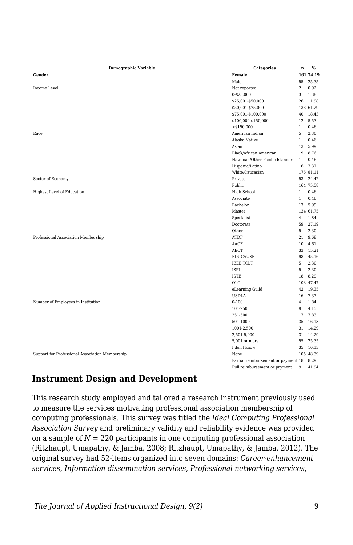| <b>Demographic Variable</b>                     | <b>Categories</b>                   | $\mathbf n$    | $\%$      |
|-------------------------------------------------|-------------------------------------|----------------|-----------|
| Gender                                          | Female                              |                | 161 74.19 |
|                                                 | Male                                | 55             | 25.35     |
| Income Level                                    | Not reported                        | $\,2$          | 0.92      |
|                                                 | 0-\$25,000                          | 3              | 1.38      |
|                                                 | \$25,001-\$50,000                   | 26             | 11.98     |
|                                                 | \$50,001-\$75,000                   |                | 133 61.29 |
|                                                 | \$75,001-\$100,000                  | 40             | 18.43     |
|                                                 | \$100,000-\$150,000                 | 12             | 5.53      |
|                                                 | $>$ \$150,000                       | $\mathbf{1}$   | 0.46      |
| Race                                            | American Indian                     | 5              | 2.30      |
|                                                 | Alaska Native                       | $\mathbf{1}$   | 0.46      |
|                                                 | Asian                               | 13             | 5.99      |
|                                                 | Black/African American              | 19             | 8.76      |
|                                                 | Hawaiian/Other Pacific Islander     | $\mathbf{1}$   | 0.46      |
|                                                 | Hispanic/Latino                     | 16             | 7.37      |
|                                                 | White/Caucasian                     |                | 176 81.11 |
| Sector of Economy                               | Private                             | 53             | 24.42     |
|                                                 | Public                              |                | 164 75.58 |
| Highest Level of Education                      | High School                         | $\mathbf{1}$   | 0.46      |
|                                                 | Associate                           | $\mathbf{1}$   | 0.46      |
|                                                 | Bachelor                            | 13             | 5.99      |
|                                                 | Master                              |                | 134 61.75 |
|                                                 | Specialist                          | $\overline{4}$ | 1.84      |
|                                                 | Doctorate                           | 59             | 27.19     |
|                                                 | Other                               | 5              | 2.30      |
| Professional Association Membership             | ATDF                                | 21             | 9.68      |
|                                                 | AACE                                | 10             | 4.61      |
|                                                 | AECT                                | 33             | 15.21     |
|                                                 | <b>EDUCAUSE</b>                     | 98             | 45.16     |
|                                                 | <b>IEEE TCLT</b>                    | 5              | 2.30      |
|                                                 | <b>ISPI</b>                         | 5              | 2.30      |
|                                                 | <b>ISTE</b>                         | 18             | 8.29      |
|                                                 | OLC                                 |                | 103 47.47 |
|                                                 | eLearning Guild                     | 42             | 19.35     |
|                                                 | <b>USDLA</b>                        | 16             | 7.37      |
| Number of Employees in Institution              | $0 - 100$                           | $\overline{4}$ | 1.84      |
|                                                 | 101-250                             | 9              | 4.15      |
|                                                 | 251-500                             | 17             | 7.83      |
|                                                 | 501-1000                            | 35             | 16.13     |
|                                                 | 1001-2,500                          | 31             | 14.29     |
|                                                 | 2,501-5,000                         | 31             | 14.29     |
|                                                 | 5,001 or more                       | 55             | 25.35     |
|                                                 | I don't know                        | 35             | 16.13     |
| Support for Professional Association Membership | None                                |                | 105 48.39 |
|                                                 | Partial reimbursement or payment 18 |                | 8.29      |
|                                                 | Full reimbursement or payment       | 91             | 41.94     |

#### **Instrument Design and Development**

This research study employed and tailored a research instrument previously used to measure the services motivating professional association membership of computing professionals. This survey was titled the *Ideal Computing Professional Association Survey* and preliminary validity and reliability evidence was provided on a sample of  $N = 220$  participants in one computing professional association (Ritzhaupt, Umapathy, & Jamba, 2008; Ritzhaupt, Umapathy, & Jamba, 2012). The original survey had 52-items organized into seven domains: *Career-enhancement services*, *Information dissemination services*, *Professional networking services*,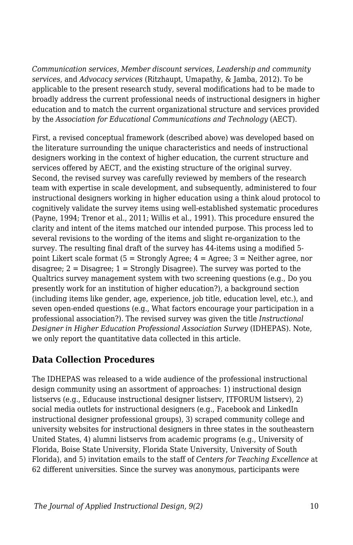*Communication services*, *Member discount services*, *Leadership and community services*, and *Advocacy services* (Ritzhaupt, Umapathy, & Jamba, 2012). To be applicable to the present research study, several modifications had to be made to broadly address the current professional needs of instructional designers in higher education and to match the current organizational structure and services provided by the *Association for Educational Communications and Technology* (AECT).

First, a revised conceptual framework (described above) was developed based on the literature surrounding the unique characteristics and needs of instructional designers working in the context of higher education, the current structure and services offered by AECT, and the existing structure of the original survey. Second, the revised survey was carefully reviewed by members of the research team with expertise in scale development, and subsequently, administered to four instructional designers working in higher education using a think aloud protocol to cognitively validate the survey items using well-established systematic procedures (Payne, 1994; Trenor et al., 2011; Willis et al., 1991). This procedure ensured the clarity and intent of the items matched our intended purpose. This process led to several revisions to the wording of the items and slight re-organization to the survey. The resulting final draft of the survey has 44-items using a modified 5 point Likert scale format  $(5 =$  Strongly Agree;  $4 =$  Agree;  $3 =$  Neither agree, nor disagree;  $2 =$  Disagree;  $1 =$  Strongly Disagree). The survey was ported to the Qualtrics survey management system with two screening questions (e.g., Do you presently work for an institution of higher education?), a background section (including items like gender, age, experience, job title, education level, etc.), and seven open-ended questions (e.g., What factors encourage your participation in a professional association?). The revised survey was given the title *Instructional Designer in Higher Education Professional Association Survey* (IDHEPAS). Note, we only report the quantitative data collected in this article.

#### **Data Collection Procedures**

The IDHEPAS was released to a wide audience of the professional instructional design community using an assortment of approaches: 1) instructional design listservs (e.g., Educause instructional designer listserv, ITFORUM listserv), 2) social media outlets for instructional designers (e.g., Facebook and LinkedIn instructional designer professional groups), 3) scraped community college and university websites for instructional designers in three states in the southeastern United States, 4) alumni listservs from academic programs (e.g., University of Florida, Boise State University, Florida State University, University of South Florida), and 5) invitation emails to the staff of *Centers for Teaching Excellence* at 62 different universities. Since the survey was anonymous, participants were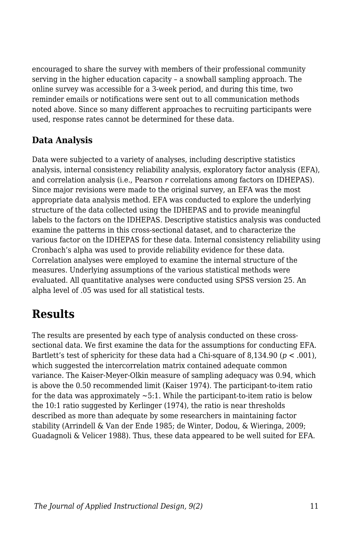encouraged to share the survey with members of their professional community serving in the higher education capacity – a snowball sampling approach. The online survey was accessible for a 3-week period, and during this time, two reminder emails or notifications were sent out to all communication methods noted above. Since so many different approaches to recruiting participants were used, response rates cannot be determined for these data.

### **Data Analysis**

Data were subjected to a variety of analyses, including descriptive statistics analysis, internal consistency reliability analysis, exploratory factor analysis (EFA), and correlation analysis (i.e., Pearson *r* correlations among factors on IDHEPAS). Since major revisions were made to the original survey, an EFA was the most appropriate data analysis method. EFA was conducted to explore the underlying structure of the data collected using the IDHEPAS and to provide meaningful labels to the factors on the IDHEPAS. Descriptive statistics analysis was conducted examine the patterns in this cross-sectional dataset, and to characterize the various factor on the IDHEPAS for these data. Internal consistency reliability using Cronbach's alpha was used to provide reliability evidence for these data. Correlation analyses were employed to examine the internal structure of the measures. Underlying assumptions of the various statistical methods were evaluated. All quantitative analyses were conducted using SPSS version 25. An alpha level of .05 was used for all statistical tests.

# **Results**

The results are presented by each type of analysis conducted on these crosssectional data. We first examine the data for the assumptions for conducting EFA. Bartlett's test of sphericity for these data had a Chi-square of 8,134.90 (*p* < .001), which suggested the intercorrelation matrix contained adequate common variance. The Kaiser-Meyer-Olkin measure of sampling adequacy was 0.94, which is above the 0.50 recommended limit (Kaiser 1974). The participant-to-item ratio for the data was approximately  $\sim 5:1$ . While the participant-to-item ratio is below the 10:1 ratio suggested by Kerlinger (1974), the ratio is near thresholds described as more than adequate by some researchers in maintaining factor stability (Arrindell & Van der Ende 1985; de Winter, Dodou, & Wieringa, 2009; Guadagnoli & Velicer 1988). Thus, these data appeared to be well suited for EFA.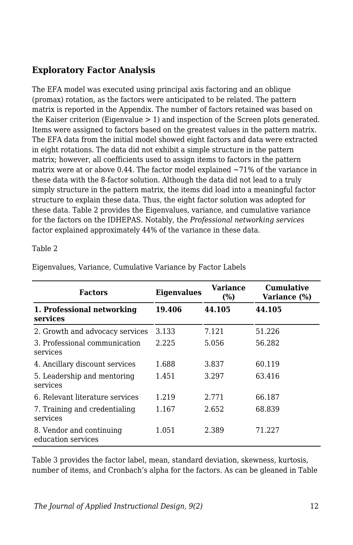## **Exploratory Factor Analysis**

The EFA model was executed using principal axis factoring and an oblique (promax) rotation, as the factors were anticipated to be related. The pattern matrix is reported in the Appendix. The number of factors retained was based on the Kaiser criterion (Eigenvalue  $> 1$ ) and inspection of the Screen plots generated. Items were assigned to factors based on the greatest values in the pattern matrix. The EFA data from the initial model showed eight factors and data were extracted in eight rotations. The data did not exhibit a simple structure in the pattern matrix; however, all coefficients used to assign items to factors in the pattern matrix were at or above 0.44. The factor model explained  $\sim$ 71% of the variance in these data with the 8-factor solution. Although the data did not lead to a truly simply structure in the pattern matrix, the items did load into a meaningful factor structure to explain these data. Thus, the eight factor solution was adopted for these data. Table 2 provides the Eigenvalues, variance, and cumulative variance for the factors on the IDHEPAS. Notably, the *Professional networking services* factor explained approximately 44% of the variance in these data.

#### Table 2

| <b>Factors</b>                                 | <b>Eigenvalues</b> | <b>Variance</b><br>(%) | Cumulative<br>Variance (%) |
|------------------------------------------------|--------------------|------------------------|----------------------------|
| 1. Professional networking<br>services         | 19.406             | 44.105                 | 44.105                     |
| 2. Growth and advocacy services                | 3.133              | 7.121                  | 51.226                     |
| 3. Professional communication<br>services      | 2.225              | 5.056                  | 56.282                     |
| 4. Ancillary discount services                 | 1.688              | 3.837                  | 60.119                     |
| 5. Leadership and mentoring<br>services        | 1.451              | 3.297                  | 63.416                     |
| 6. Relevant literature services                | 1.219              | 2.771                  | 66.187                     |
| 7. Training and credentialing<br>services      | 1.167              | 2.652                  | 68.839                     |
| 8. Vendor and continuing<br>education services | 1.051              | 2.389                  | 71.227                     |

Eigenvalues, Variance, Cumulative Variance by Factor Labels

Table 3 provides the factor label, mean, standard deviation, skewness, kurtosis, number of items, and Cronbach's alpha for the factors. As can be gleaned in Table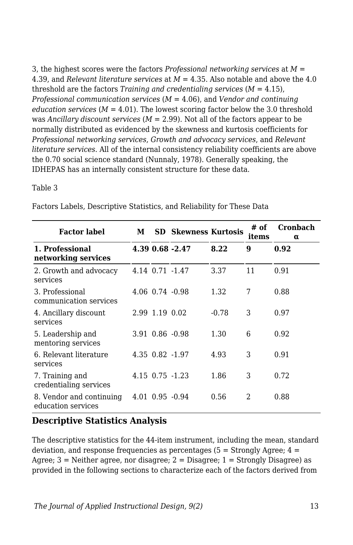3, the highest scores were the factors *Professional networking services* at *M* = 4.39, and *Relevant literature services* at *M* = 4.35. Also notable and above the 4.0 threshold are the factors *Training and credentialing services*  $(M = 4.15)$ , *Professional communication services* (*M* = 4.06), and *Vendor and continuing education services* ( $M = 4.01$ ). The lowest scoring factor below the 3.0 threshold was *Ancillary discount services* (*M* = 2.99). Not all of the factors appear to be normally distributed as evidenced by the skewness and kurtosis coefficients for *Professional networking services*, *Growth and advocacy services*, and *Relevant literature services*. All of the internal consistency reliability coefficients are above the 0.70 social science standard (Nunnaly, 1978). Generally speaking, the IDHEPAS has an internally consistent structure for these data.

#### Table 3

| <b>Factor label</b>                            | М |                | <b>SD</b> Skewness Kurtosis |         | # of<br>items  | Cronbach<br>$\alpha$ |
|------------------------------------------------|---|----------------|-----------------------------|---------|----------------|----------------------|
| 1. Professional<br>networking services         |   |                | 4.39 0.68 -2.47             | 8.22    | 9              | 0.92                 |
| 2. Growth and advocacy<br>services             |   |                | 4.14 0.71 -1.47             | 3.37    | 11             | 0.91                 |
| 3. Professional<br>communication services      |   |                | $4.06$ $0.74$ $-0.98$       | 1.32    | 7              | 0.88                 |
| 4. Ancillary discount<br>services              |   | 2.99 1.19 0.02 |                             | $-0.78$ | 3              | 0.97                 |
| 5. Leadership and<br>mentoring services        |   |                | $3.91$ $0.86$ $-0.98$       | 1.30    | 6              | 0.92                 |
| 6. Relevant literature<br>services             |   |                | 4.35 0.82 -1.97             | 4.93    | 3              | 0.91                 |
| 7. Training and<br>credentialing services      |   |                | 4.15 0.75 -1.23             | 1.86    | 3              | 0.72                 |
| 8. Vendor and continuing<br>education services |   |                | $4.01$ $0.95$ $-0.94$       | 0.56    | $\mathfrak{D}$ | 0.88                 |

Factors Labels, Descriptive Statistics, and Reliability for These Data

### **Descriptive Statistics Analysis**

The descriptive statistics for the 44-item instrument, including the mean, standard deviation, and response frequencies as percentages  $(5 =$  Strongly Agree;  $4 =$ Agree; 3 = Neither agree, nor disagree; 2 = Disagree; 1 = Strongly Disagree) as provided in the following sections to characterize each of the factors derived from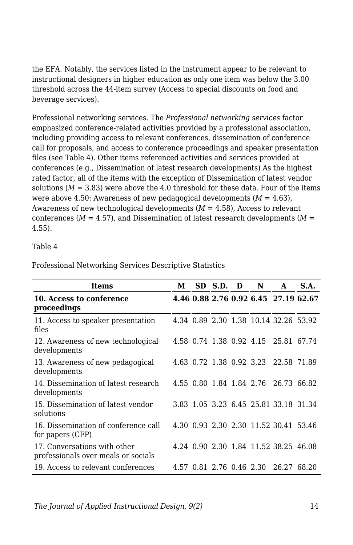the EFA. Notably, the services listed in the instrument appear to be relevant to instructional designers in higher education as only one item was below the 3.00 threshold across the 44-item survey (Access to special discounts on food and beverage services).

Professional networking services. The *Professional networking services* factor emphasized conference-related activities provided by a professional association, including providing access to relevant conferences, dissemination of conference call for proposals, and access to conference proceedings and speaker presentation files (see Table 4). Other items referenced activities and services provided at conferences (e.g., Dissemination of latest research developments) As the highest rated factor, all of the items with the exception of Dissemination of latest vendor solutions  $(M = 3.83)$  were above the 4.0 threshold for these data. Four of the items were above 4.50: Awareness of new pedagogical developments  $(M = 4.63)$ , Awareness of new technological developments (*M* = 4.58), Access to relevant conferences ( $M = 4.57$ ), and Dissemination of latest research developments ( $M =$ 4.55).

#### Table 4

| Items                                                               | М | SD S.D. D                | N | A                                     | S.A. |
|---------------------------------------------------------------------|---|--------------------------|---|---------------------------------------|------|
| 10. Access to conference<br>proceedings                             |   |                          |   | 4.46 0.88 2.76 0.92 6.45 27.19 62.67  |      |
| 11. Access to speaker presentation<br>files                         |   |                          |   | 4.34 0.89 2.30 1.38 10.14 32.26 53.92 |      |
| 12. Awareness of new technological<br>developments                  |   |                          |   | 4.58 0.74 1.38 0.92 4.15 25.81 67.74  |      |
| 13. Awareness of new pedagogical<br>developments                    |   | 4.63 0.72 1.38 0.92 3.23 |   | 22.58 71.89                           |      |
| 14. Dissemination of latest research<br>developments                |   | 4.55 0.80 1.84 1.84 2.76 |   | 26.73 66.82                           |      |
| 15. Dissemination of latest vendor<br>solutions                     |   |                          |   | 3.83 1.05 3.23 6.45 25.81 33.18 31.34 |      |
| 16. Dissemination of conference call<br>for papers (CFP)            |   |                          |   | 4.30 0.93 2.30 2.30 11.52 30.41 53.46 |      |
| 17. Conversations with other<br>professionals over meals or socials |   |                          |   | 4.24 0.90 2.30 1.84 11.52 38.25 46.08 |      |
| 19. Access to relevant conferences                                  |   | 4.57 0.81 2.76 0.46 2.30 |   | 26.27 68.20                           |      |

Professional Networking Services Descriptive Statistics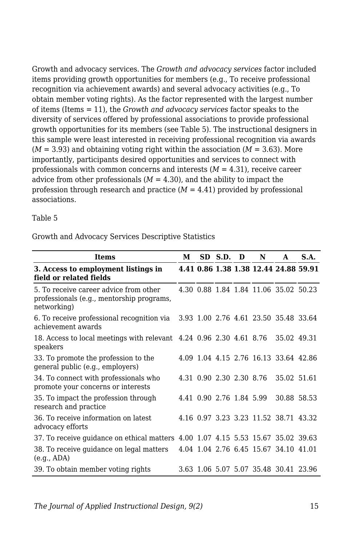Growth and advocacy services. The *Growth and advocacy services* factor included items providing growth opportunities for members (e.g., To receive professional recognition via achievement awards) and several advocacy activities (e.g., To obtain member voting rights). As the factor represented with the largest number of items (Items = 11), the *Growth and advocacy services* factor speaks to the diversity of services offered by professional associations to provide professional growth opportunities for its members (see Table 5). The instructional designers in this sample were least interested in receiving professional recognition via awards  $(M = 3.93)$  and obtaining voting right within the association  $(M = 3.63)$ . More importantly, participants desired opportunities and services to connect with professionals with common concerns and interests  $(M = 4.31)$ , receive career advice from other professionals  $(M = 4.30)$ , and the ability to impact the profession through research and practice  $(M = 4.41)$  provided by professional associations.

Table 5

Growth and Advocacy Services Descriptive Statistics

| <b>Items</b>                                                                                       |  |                          | SD S.D. | D | N | A                                     | <b>S.A.</b> |
|----------------------------------------------------------------------------------------------------|--|--------------------------|---------|---|---|---------------------------------------|-------------|
| 3. Access to employment listings in<br>field or related fields                                     |  |                          |         |   |   | 4.41 0.86 1.38 1.38 12.44 24.88 59.91 |             |
| 5. To receive career advice from other<br>professionals (e.g., mentorship programs,<br>networking) |  |                          |         |   |   | 4.30 0.88 1.84 1.84 11.06 35.02 50.23 |             |
| 6. To receive professional recognition via<br>achievement awards                                   |  |                          |         |   |   | 3.93 1.00 2.76 4.61 23.50 35.48 33.64 |             |
| 18. Access to local meetings with relevant 4.24 0.96 2.30 4.61 8.76<br>speakers                    |  |                          |         |   |   | 35.02 49.31                           |             |
| 33. To promote the profession to the<br>general public (e.g., employers)                           |  |                          |         |   |   | 4.09 1.04 4.15 2.76 16.13 33.64 42.86 |             |
| 34. To connect with professionals who<br>promote your concerns or interests                        |  | 4.31 0.90 2.30 2.30 8.76 |         |   |   | 35.02 51.61                           |             |
| 35. To impact the profession through<br>research and practice                                      |  | 4.41 0.90 2.76 1.84 5.99 |         |   |   | 30.88 58.53                           |             |
| 36. To receive information on latest<br>advocacy efforts                                           |  |                          |         |   |   | 4.16 0.97 3.23 3.23 11.52 38.71 43.32 |             |
| 37. To receive quidance on ethical matters 4.00 1.07 4.15 5.53 15.67 35.02 39.63                   |  |                          |         |   |   |                                       |             |
| 38. To receive guidance on legal matters<br>(e.g., ADA)                                            |  |                          |         |   |   | 4.04 1.04 2.76 6.45 15.67 34.10 41.01 |             |
| 39. To obtain member voting rights                                                                 |  |                          |         |   |   | 3.63 1.06 5.07 5.07 35.48 30.41 23.96 |             |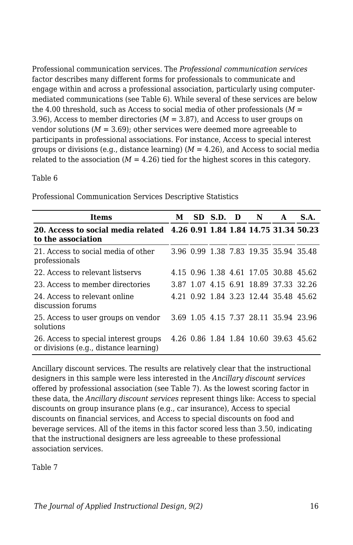Professional communication services. The *Professional communication services* factor describes many different forms for professionals to communicate and engage within and across a professional association, particularly using computermediated communications (see Table 6). While several of these services are below the 4.00 threshold, such as Access to social media of other professionals  $(M =$ 3.96), Access to member directories  $(M = 3.87)$ , and Access to user groups on vendor solutions  $(M = 3.69)$ ; other services were deemed more agreeable to participants in professional associations. For instance, Access to special interest groups or divisions (e.g., distance learning)  $(M = 4.26)$ , and Access to social media related to the association  $(M = 4.26)$  tied for the highest scores in this category.

#### Table 6

| Items                                                                                          | М | SD S.D. | D | N | A                                     | S.A. |
|------------------------------------------------------------------------------------------------|---|---------|---|---|---------------------------------------|------|
| 20. Access to social media related 4.26 0.91 1.84 1.84 14.75 31.34 50.23<br>to the association |   |         |   |   |                                       |      |
| 21. Access to social media of other<br>professionals                                           |   |         |   |   | 3.96 0.99 1.38 7.83 19.35 35.94 35.48 |      |
| 22. Access to relevant listservs                                                               |   |         |   |   | 4.15 0.96 1.38 4.61 17.05 30.88 45.62 |      |
| 23. Access to member directories                                                               |   |         |   |   | 3.87 1.07 4.15 6.91 18.89 37.33 32.26 |      |
| 24. Access to relevant online<br>discussion forums                                             |   |         |   |   | 4.21 0.92 1.84 3.23 12.44 35.48 45.62 |      |
| 25. Access to user groups on vendor<br>solutions                                               |   |         |   |   | 3.69 1.05 4.15 7.37 28.11 35.94 23.96 |      |
| 26. Access to special interest groups<br>or divisions (e.g., distance learning)                |   |         |   |   | 4.26 0.86 1.84 1.84 10.60 39.63 45.62 |      |

Professional Communication Services Descriptive Statistics

Ancillary discount services. The results are relatively clear that the instructional designers in this sample were less interested in the *Ancillary discount services* offered by professional association (see Table 7). As the lowest scoring factor in these data, the *Ancillary discount services* represent things like: Access to special discounts on group insurance plans (e.g., car insurance), Access to special discounts on financial services, and Access to special discounts on food and beverage services. All of the items in this factor scored less than 3.50, indicating that the instructional designers are less agreeable to these professional association services.

Table 7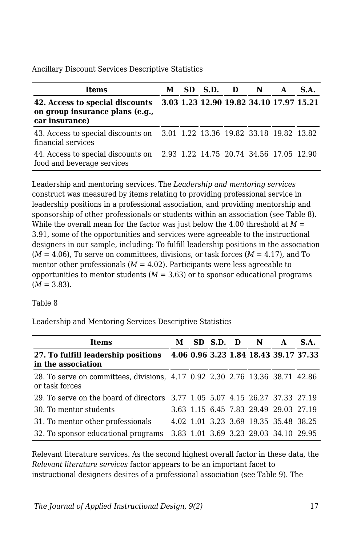Ancillary Discount Services Descriptive Statistics

| <b>Items</b>                                                                                                                 | M |  | SD S.D. D N | A | S.A. |
|------------------------------------------------------------------------------------------------------------------------------|---|--|-------------|---|------|
| 42. Access to special discounts 3.03 1.23 12.90 19.82 34.10 17.97 15.21<br>on group insurance plans (e.g.,<br>car insurance) |   |  |             |   |      |
| 43. Access to special discounts on 3.01 1.22 13.36 19.82 33.18 19.82 13.82<br>financial services                             |   |  |             |   |      |
| 44. Access to special discounts on 2.93 1.22 14.75 20.74 34.56 17.05 12.90<br>food and beverage services                     |   |  |             |   |      |

Leadership and mentoring services. The *Leadership and mentoring services* construct was measured by items relating to providing professional service in leadership positions in a professional association, and providing mentorship and sponsorship of other professionals or students within an association (see Table 8). While the overall mean for the factor was just below the 4.00 threshold at  $M =$ 3.91, some of the opportunities and services were agreeable to the instructional designers in our sample, including: To fulfill leadership positions in the association  $(M = 4.06)$ , To serve on committees, divisions, or task forces  $(M = 4.17)$ , and To mentor other professionals  $(M = 4.02)$ . Participants were less agreeable to opportunities to mentor students  $(M = 3.63)$  or to sponsor educational programs  $(M = 3.83)$ .

Table 8

Leadership and Mentoring Services Descriptive Statistics

| Items                                                                                          | М |  | SD S.D. D N |                                       | A | S.A.                                  |
|------------------------------------------------------------------------------------------------|---|--|-------------|---------------------------------------|---|---------------------------------------|
| 27. To fulfill leadership positions<br>in the association                                      |   |  |             |                                       |   | 4.06 0.96 3.23 1.84 18.43 39.17 37.33 |
| 28. To serve on committees, divisions, 4.17 0.92 2.30 2.76 13.36 38.71 42.86<br>or task forces |   |  |             |                                       |   |                                       |
| 29. To serve on the board of directors 3.77 1.05 5.07 4.15 26.27 37.33 27.19                   |   |  |             |                                       |   |                                       |
| 30. To mentor students                                                                         |   |  |             | 3.63 1.15 6.45 7.83 29.49 29.03 27.19 |   |                                       |
| 31. To mentor other professionals                                                              |   |  |             | 4.02 1.01 3.23 3.69 19.35 35.48 38.25 |   |                                       |
| 32. To sponsor educational programs                                                            |   |  |             | 3.83 1.01 3.69 3.23 29.03 34.10 29.95 |   |                                       |

Relevant literature services. As the second highest overall factor in these data, the *Relevant literature services* factor appears to be an important facet to instructional designers desires of a professional association (see Table 9). The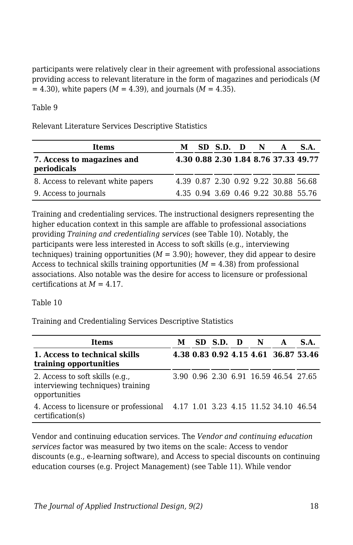participants were relatively clear in their agreement with professional associations providing access to relevant literature in the form of magazines and periodicals (*M*  $= 4.30$ , white papers (*M* = 4.39), and journals (*M* = 4.35).

Table 9

Relevant Literature Services Descriptive Statistics

| <b>Items</b>                              | M | $SD$ S.D. $D$ N |  | $\mathbf{A}$                         | S.A. |
|-------------------------------------------|---|-----------------|--|--------------------------------------|------|
| 7. Access to magazines and<br>periodicals |   |                 |  | 4.30 0.88 2.30 1.84 8.76 37.33 49.77 |      |
| 8. Access to relevant white papers        |   |                 |  | 4.39 0.87 2.30 0.92 9.22 30.88 56.68 |      |
| 9. Access to journals                     |   |                 |  | 4.35 0.94 3.69 0.46 9.22 30.88 55.76 |      |

Training and credentialing services. The instructional designers representing the higher education context in this sample are affable to professional associations providing *Training and credentialing services* (see Table 10). Notably, the participants were less interested in Access to soft skills (e.g., interviewing techniques) training opportunities  $(M = 3.90)$ ; however, they did appear to desire Access to technical skills training opportunities (*M* = 4.38) from professional associations. Also notable was the desire for access to licensure or professional certifications at *M* = 4.17.

Table 10

Training and Credentialing Services Descriptive Statistics

| Items                                                                                            | М | SD S.D. D N |  | $\mathbf{A}$                          | S.A.                                 |
|--------------------------------------------------------------------------------------------------|---|-------------|--|---------------------------------------|--------------------------------------|
| 1. Access to technical skills<br>training opportunities                                          |   |             |  |                                       | 4.38 0.83 0.92 4.15 4.61 36.87 53.46 |
| 2. Access to soft skills (e.g.,<br>interviewing techniques) training<br>opportunities            |   |             |  | 3.90 0.96 2.30 6.91 16.59 46.54 27.65 |                                      |
| 4. Access to licensure or professional 4.17 1.01 3.23 4.15 11.52 34.10 46.54<br>certification(s) |   |             |  |                                       |                                      |

Vendor and continuing education services. The *Vendor and continuing education services* factor was measured by two items on the scale: Access to vendor discounts (e.g., e-learning software), and Access to special discounts on continuing education courses (e.g. Project Management) (see Table 11). While vendor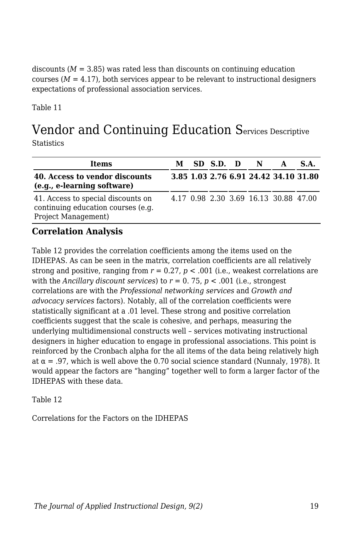discounts  $(M = 3.85)$  was rated less than discounts on continuing education courses  $(M = 4.17)$ , both services appear to be relevant to instructional designers expectations of professional association services.

Table 11

# Vendor and Continuing Education Services Descriptive

**Statistics** 

| Items                                                                                           |  | M SD S.D. D N |                                       | $\mathbf{A}$ | <b>S.A.</b>                           |
|-------------------------------------------------------------------------------------------------|--|---------------|---------------------------------------|--------------|---------------------------------------|
| 40. Access to vendor discounts<br>(e.g., e-learning software)                                   |  |               |                                       |              | 3.85 1.03 2.76 6.91 24.42 34.10 31.80 |
| 41. Access to special discounts on<br>continuing education courses (e.g.<br>Project Management) |  |               | 4.17 0.98 2.30 3.69 16.13 30.88 47.00 |              |                                       |

#### **Correlation Analysis**

Table 12 provides the correlation coefficients among the items used on the IDHEPAS. As can be seen in the matrix, correlation coefficients are all relatively strong and positive, ranging from  $r = 0.27$ ,  $p < .001$  (i.e., weakest correlations are with the *Ancillary discount services*) to  $r = 0.75$ ,  $p < .001$  (i.e., strongest correlations are with the *Professional networking services* and *Growth and advocacy services* factors). Notably, all of the correlation coefficients were statistically significant at a .01 level. These strong and positive correlation coefficients suggest that the scale is cohesive, and perhaps, measuring the underlying multidimensional constructs well – services motivating instructional designers in higher education to engage in professional associations. This point is reinforced by the Cronbach alpha for the all items of the data being relatively high at  $\alpha$  = .97, which is well above the 0.70 social science standard (Nunnaly, 1978). It would appear the factors are "hanging" together well to form a larger factor of the IDHEPAS with these data.

Table 12

Correlations for the Factors on the IDHEPAS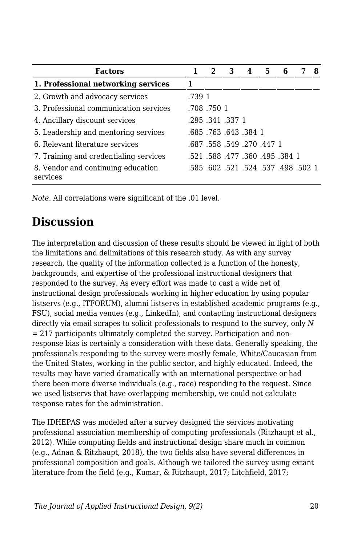| <b>Factors</b>                                 |        | 2         | З                                    | 4 | 5. |  | 8 |
|------------------------------------------------|--------|-----------|--------------------------------------|---|----|--|---|
| 1. Professional networking services            |        |           |                                      |   |    |  |   |
| 2. Growth and advocacy services                | .739 1 |           |                                      |   |    |  |   |
| 3. Professional communication services         |        | .708.7501 |                                      |   |    |  |   |
| 4. Ancillary discount services                 |        |           | .295 .341 .337 1                     |   |    |  |   |
| 5. Leadership and mentoring services           |        |           | .685, 643, 643. 685.                 |   |    |  |   |
| 6. Relevant literature services                |        |           | .687 .558 .549 .270 .447 1           |   |    |  |   |
| 7. Training and credentialing services         |        |           | .521 .588 .477 .360 .495 .384 1      |   |    |  |   |
| 8. Vendor and continuing education<br>services |        |           | .5 502 498. 537. 524. 524. 602. 585. |   |    |  |   |

*Note.* All correlations were significant of the .01 level.

# **Discussion**

The interpretation and discussion of these results should be viewed in light of both the limitations and delimitations of this research study. As with any survey research, the quality of the information collected is a function of the honesty, backgrounds, and expertise of the professional instructional designers that responded to the survey. As every effort was made to cast a wide net of instructional design professionals working in higher education by using popular listservs (e.g., ITFORUM), alumni listservs in established academic programs (e.g., FSU), social media venues (e.g., LinkedIn), and contacting instructional designers directly via email scrapes to solicit professionals to respond to the survey, only *N*  $= 217$  participants ultimately completed the survey. Participation and nonresponse bias is certainly a consideration with these data. Generally speaking, the professionals responding to the survey were mostly female, White/Caucasian from the United States, working in the public sector, and highly educated. Indeed, the results may have varied dramatically with an international perspective or had there been more diverse individuals (e.g., race) responding to the request. Since we used listservs that have overlapping membership, we could not calculate response rates for the administration.

The IDHEPAS was modeled after a survey designed the services motivating professional association membership of computing professionals (Ritzhaupt et al., 2012). While computing fields and instructional design share much in common (e.g., Adnan & Ritzhaupt, 2018), the two fields also have several differences in professional composition and goals. Although we tailored the survey using extant literature from the field (e.g., Kumar, & Ritzhaupt, 2017; Litchfield, 2017;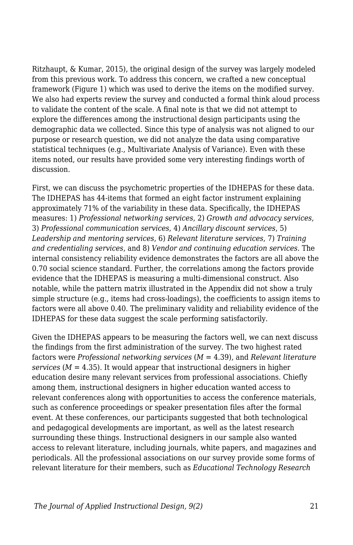Ritzhaupt, & Kumar, 2015), the original design of the survey was largely modeled from this previous work. To address this concern, we crafted a new conceptual framework (Figure 1) which was used to derive the items on the modified survey. We also had experts review the survey and conducted a formal think aloud process to validate the content of the scale. A final note is that we did not attempt to explore the differences among the instructional design participants using the demographic data we collected. Since this type of analysis was not aligned to our purpose or research question, we did not analyze the data using comparative statistical techniques (e.g., Multivariate Analysis of Variance). Even with these items noted, our results have provided some very interesting findings worth of discussion.

First, we can discuss the psychometric properties of the IDHEPAS for these data. The IDHEPAS has 44-items that formed an eight factor instrument explaining approximately 71% of the variability in these data. Specifically, the IDHEPAS measures: 1) *Professional networking services*, 2) *Growth and advocacy services*, 3) *Professional communication services*, 4) *Ancillary discount services*, 5) *Leadership and mentoring services*, 6) *Relevant literature services*, 7) *Training and credentialing services*, and 8) *Vendor and continuing education services*. The internal consistency reliability evidence demonstrates the factors are all above the 0.70 social science standard. Further, the correlations among the factors provide evidence that the IDHEPAS is measuring a multi-dimensional construct. Also notable, while the pattern matrix illustrated in the Appendix did not show a truly simple structure (e.g., items had cross-loadings), the coefficients to assign items to factors were all above 0.40. The preliminary validity and reliability evidence of the IDHEPAS for these data suggest the scale performing satisfactorily.

Given the IDHEPAS appears to be measuring the factors well, we can next discuss the findings from the first administration of the survey. The two highest rated factors were *Professional networking services* (*M* = 4.39), and *Relevant literature*  $s$ ervices ( $M = 4.35$ ). It would appear that instructional designers in higher education desire many relevant services from professional associations. Chiefly among them, instructional designers in higher education wanted access to relevant conferences along with opportunities to access the conference materials, such as conference proceedings or speaker presentation files after the formal event. At these conferences, our participants suggested that both technological and pedagogical developments are important, as well as the latest research surrounding these things. Instructional designers in our sample also wanted access to relevant literature, including journals, white papers, and magazines and periodicals. All the professional associations on our survey provide some forms of relevant literature for their members, such as *Educational Technology Research*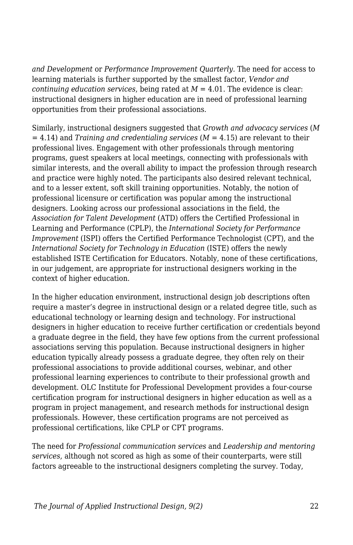*and Development* or *Performance Improvement Quarterly*. The need for access to learning materials is further supported by the smallest factor, *Vendor and continuing education services, being rated at*  $M = 4.01$ *. The evidence is clear:* instructional designers in higher education are in need of professional learning opportunities from their professional associations.

Similarly, instructional designers suggested that *Growth and advocacy services* (*M*  $= 4.14$ ) and *Training and credentialing services* ( $M = 4.15$ ) are relevant to their professional lives. Engagement with other professionals through mentoring programs, guest speakers at local meetings, connecting with professionals with similar interests, and the overall ability to impact the profession through research and practice were highly noted. The participants also desired relevant technical, and to a lesser extent, soft skill training opportunities. Notably, the notion of professional licensure or certification was popular among the instructional designers. Looking across our professional associations in the field, the *Association for Talent Development* (ATD) offers the Certified Professional in Learning and Performance (CPLP), the *International Society for Performance Improvement* (ISPI) offers the Certified Performance Technologist (CPT), and the *International Society for Technology in Education* (ISTE) offers the newly established ISTE Certification for Educators. Notably, none of these certifications, in our judgement, are appropriate for instructional designers working in the context of higher education.

In the higher education environment, instructional design job descriptions often require a master's degree in instructional design or a related degree title, such as educational technology or learning design and technology. For instructional designers in higher education to receive further certification or credentials beyond a graduate degree in the field, they have few options from the current professional associations serving this population. Because instructional designers in higher education typically already possess a graduate degree, they often rely on their professional associations to provide additional courses, webinar, and other professional learning experiences to contribute to their professional growth and development. OLC Institute for Professional Development provides a four-course certification program for instructional designers in higher education as well as a program in project management, and research methods for instructional design professionals. However, these certification programs are not perceived as professional certifications, like CPLP or CPT programs.

The need for *Professional communication services* and *Leadership and mentoring services*, although not scored as high as some of their counterparts, were still factors agreeable to the instructional designers completing the survey. Today,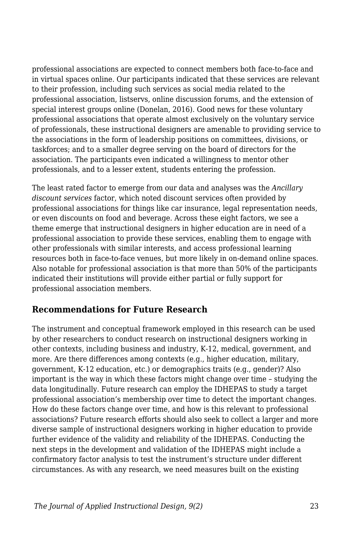professional associations are expected to connect members both face-to-face and in virtual spaces online. Our participants indicated that these services are relevant to their profession, including such services as social media related to the professional association, listservs, online discussion forums, and the extension of special interest groups online (Donelan, 2016). Good news for these voluntary professional associations that operate almost exclusively on the voluntary service of professionals, these instructional designers are amenable to providing service to the associations in the form of leadership positions on committees, divisions, or taskforces; and to a smaller degree serving on the board of directors for the association. The participants even indicated a willingness to mentor other professionals, and to a lesser extent, students entering the profession.

The least rated factor to emerge from our data and analyses was the *Ancillary discount services* factor, which noted discount services often provided by professional associations for things like car insurance, legal representation needs, or even discounts on food and beverage. Across these eight factors, we see a theme emerge that instructional designers in higher education are in need of a professional association to provide these services, enabling them to engage with other professionals with similar interests, and access professional learning resources both in face-to-face venues, but more likely in on-demand online spaces. Also notable for professional association is that more than 50% of the participants indicated their institutions will provide either partial or fully support for professional association members.

#### **Recommendations for Future Research**

The instrument and conceptual framework employed in this research can be used by other researchers to conduct research on instructional designers working in other contexts, including business and industry, K-12, medical, government, and more. Are there differences among contexts (e.g., higher education, military, government, K-12 education, etc.) or demographics traits (e.g., gender)? Also important is the way in which these factors might change over time – studying the data longitudinally. Future research can employ the IDHEPAS to study a target professional association's membership over time to detect the important changes. How do these factors change over time, and how is this relevant to professional associations? Future research efforts should also seek to collect a larger and more diverse sample of instructional designers working in higher education to provide further evidence of the validity and reliability of the IDHEPAS. Conducting the next steps in the development and validation of the IDHEPAS might include a confirmatory factor analysis to test the instrument's structure under different circumstances. As with any research, we need measures built on the existing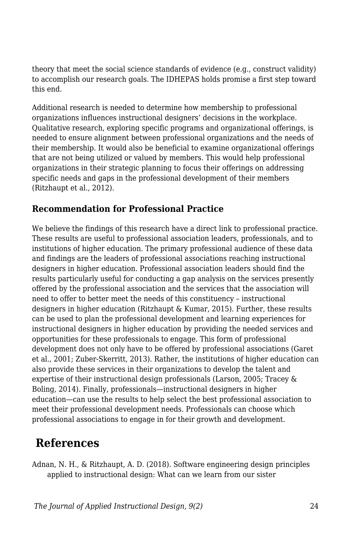theory that meet the social science standards of evidence (e.g., construct validity) to accomplish our research goals. The IDHEPAS holds promise a first step toward this end.

Additional research is needed to determine how membership to professional organizations influences instructional designers' decisions in the workplace. Qualitative research, exploring specific programs and organizational offerings, is needed to ensure alignment between professional organizations and the needs of their membership. It would also be beneficial to examine organizational offerings that are not being utilized or valued by members. This would help professional organizations in their strategic planning to focus their offerings on addressing specific needs and gaps in the professional development of their members (Ritzhaupt et al., 2012).

#### **Recommendation for Professional Practice**

We believe the findings of this research have a direct link to professional practice. These results are useful to professional association leaders, professionals, and to institutions of higher education. The primary professional audience of these data and findings are the leaders of professional associations reaching instructional designers in higher education. Professional association leaders should find the results particularly useful for conducting a gap analysis on the services presently offered by the professional association and the services that the association will need to offer to better meet the needs of this constituency – instructional designers in higher education (Ritzhaupt & Kumar, 2015). Further, these results can be used to plan the professional development and learning experiences for instructional designers in higher education by providing the needed services and opportunities for these professionals to engage. This form of professional development does not only have to be offered by professional associations (Garet et al., 2001; Zuber-Skerritt, 2013). Rather, the institutions of higher education can also provide these services in their organizations to develop the talent and expertise of their instructional design professionals (Larson, 2005; Tracey & Boling, 2014). Finally, professionals—instructional designers in higher education—can use the results to help select the best professional association to meet their professional development needs. Professionals can choose which professional associations to engage in for their growth and development.

# **References**

Adnan, N. H., & Ritzhaupt, A. D. (2018). Software engineering design principles applied to instructional design: What can we learn from our sister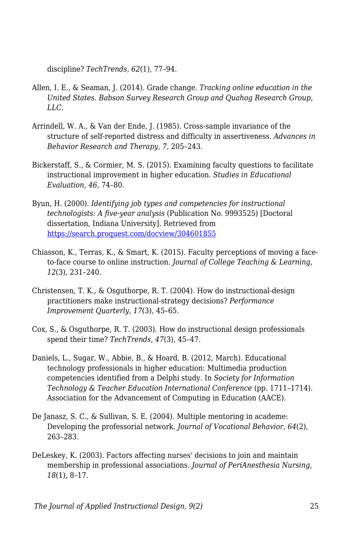discipline? *TechTrends*, *62*(1), 77–94.

- Allen, I. E., & Seaman, J. (2014). Grade change. *Tracking online education in the United States. Babson Survey Research Group and Quahog Research Group, LLC*.
- Arrindell, W. A., & Van der Ende, J. (1985). Cross-sample invariance of the structure of self-reported distress and difficulty in assertiveness. *Advances in Behavior Research and Therapy*, *7*, 205–243.
- Bickerstaff, S., & Cormier, M. S. (2015). Examining faculty questions to facilitate instructional improvement in higher education. *Studies in Educational Evaluation*, *46*, 74–80.
- Byun, H. (2000). *Identifying job types and competencies for instructional technologists: A five-year analysis* (Publication No. 9993525) [Doctoral dissertation, Indiana University]. Retrieved from <https://search.proquest.com/docview/304601855>
- Chiasson, K., Terras, K., & Smart, K. (2015). Faculty perceptions of moving a faceto-face course to online instruction. *Journal of College Teaching & Learning*, *12*(3), 231–240.
- Christensen, T. K., & Osguthorpe, R. T. (2004). How do instructional-design practitioners make instructional-strategy decisions? *Performance Improvement Quarterly*, *17*(3), 45–65.
- Cox, S., & Osguthorpe, R. T. (2003). How do instructional design professionals spend their time? *TechTrends*, *47*(3), 45–47.
- Daniels, L., Sugar, W., Abbie, B., & Hoard, B. (2012, March). Educational technology professionals in higher education: Multimedia production competencies identified from a Delphi study. In *Society for Information Technology & Teacher Education International Conference* (pp. 1711–1714). Association for the Advancement of Computing in Education (AACE).
- De Janasz, S. C., & Sullivan, S. E. (2004). Multiple mentoring in academe: Developing the professorial network. *Journal of Vocational Behavior*, *64*(2), 263–283.
- DeLeskey, K. (2003). Factors affecting nurses' decisions to join and maintain membership in professional associations. *Journal of PeriAnesthesia Nursing*, *18*(1), 8–17.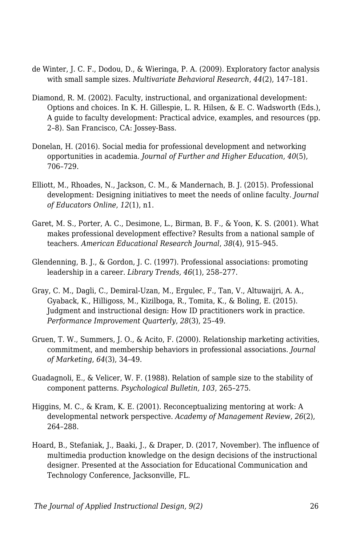- de Winter, J. C. F., Dodou, D., & Wieringa, P. A. (2009). Exploratory factor analysis with small sample sizes. *Multivariate Behavioral Research*, *44*(2), 147–181.
- Diamond, R. M. (2002). Faculty, instructional, and organizational development: Options and choices. In K. H. Gillespie, L. R. Hilsen, & E. C. Wadsworth (Eds.), A guide to faculty development: Practical advice, examples, and resources (pp. 2–8). San Francisco, CA: Jossey-Bass.
- Donelan, H. (2016). Social media for professional development and networking opportunities in academia. *Journal of Further and Higher Education*, *40*(5), 706–729.
- Elliott, M., Rhoades, N., Jackson, C. M., & Mandernach, B. J. (2015). Professional development: Designing initiatives to meet the needs of online faculty. *Journal of Educators Online*, *12*(1), n1.
- Garet, M. S., Porter, A. C., Desimone, L., Birman, B. F., & Yoon, K. S. (2001). What makes professional development effective? Results from a national sample of teachers. *American Educational Research Journal*, *38*(4), 915–945.
- Glendenning, B. J., & Gordon, J. C. (1997). Professional associations: promoting leadership in a career. *Library Trends, 46*(1), 258–277.
- Gray, C. M., Dagli, C., Demiral-Uzan, M., Ergulec, F., Tan, V., Altuwaijri, A. A., Gyaback, K., Hilligoss, M., Kizilboga, R., Tomita, K., & Boling, E. (2015). Judgment and instructional design: How ID practitioners work in practice. *Performance Improvement Quarterly*, *28*(3), 25–49.
- Gruen, T. W., Summers, J. O., & Acito, F. (2000). Relationship marketing activities, commitment, and membership behaviors in professional associations. *Journal of Marketing*, *64*(3), 34–49.
- Guadagnoli, E., & Velicer, W. F. (1988). Relation of sample size to the stability of component patterns. *Psychological Bulletin, 103*, 265–275.
- Higgins, M. C., & Kram, K. E. (2001). Reconceptualizing mentoring at work: A developmental network perspective. *Academy of Management Review*, *26*(2), 264–288.
- Hoard, B., Stefaniak, J., Baaki, J., & Draper, D. (2017, November). The influence of multimedia production knowledge on the design decisions of the instructional designer. Presented at the Association for Educational Communication and Technology Conference, Jacksonville, FL.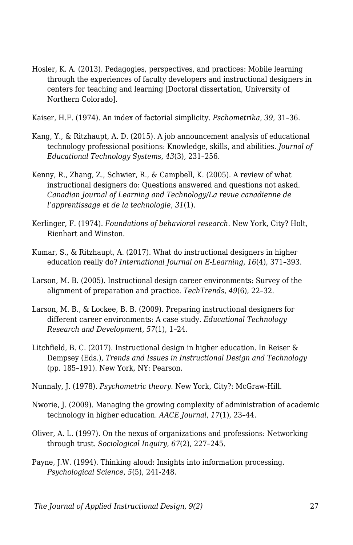- Hosler, K. A. (2013). Pedagogies, perspectives, and practices: Mobile learning through the experiences of faculty developers and instructional designers in centers for teaching and learning [Doctoral dissertation, University of Northern Colorado].
- Kaiser, H.F. (1974). An index of factorial simplicity. *Pschometrika*, *39*, 31–36.
- Kang, Y., & Ritzhaupt, A. D. (2015). A job announcement analysis of educational technology professional positions: Knowledge, skills, and abilities. *Journal of Educational Technology Systems*, *43*(3), 231–256.
- Kenny, R., Zhang, Z., Schwier, R., & Campbell, K. (2005). A review of what instructional designers do: Questions answered and questions not asked. *Canadian Journal of Learning and Technology/La revue canadienne de l'apprentissage et de la technologie*, *31*(1).
- Kerlinger, F. (1974). *Foundations of behavioral research*. New York, City? Holt, Rienhart and Winston.
- Kumar, S., & Ritzhaupt, A. (2017). What do instructional designers in higher education really do? *International Journal on E-Learning*, *16*(4), 371–393.
- Larson, M. B. (2005). Instructional design career environments: Survey of the alignment of preparation and practice. *TechTrends*, *49*(6), 22–32.
- Larson, M. B., & Lockee, B. B. (2009). Preparing instructional designers for different career environments: A case study. *Educational Technology Research and Development*, *57*(1), 1–24.
- Litchfield, B. C. (2017). Instructional design in higher education. In Reiser & Dempsey (Eds.), *Trends and Issues in Instructional Design and Technology* (pp. 185–191). New York, NY: Pearson.
- Nunnaly, J. (1978). *Psychometric theory*. New York, City?: McGraw-Hill.
- Nworie, J. (2009). Managing the growing complexity of administration of academic technology in higher education. *AACE Journal*, *17*(1), 23–44.
- Oliver, A. L. (1997). On the nexus of organizations and professions: Networking through trust. *Sociological Inquiry*, *67*(2), 227–245.
- Payne, J.W. (1994). Thinking aloud: Insights into information processing. *Psychological Science*, *5*(5), 241-248.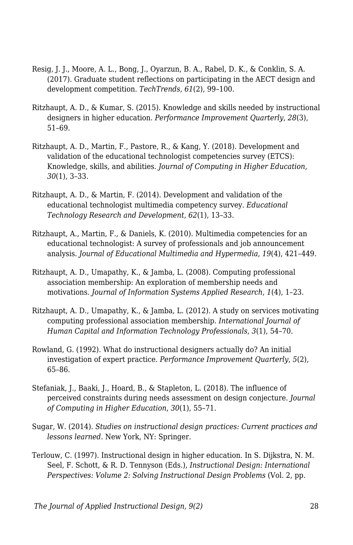- Resig, J. J., Moore, A. L., Bong, J., Oyarzun, B. A., Rabel, D. K., & Conklin, S. A. (2017). Graduate student reflections on participating in the AECT design and development competition. *TechTrends*, *61*(2), 99–100.
- Ritzhaupt, A. D., & Kumar, S. (2015). Knowledge and skills needed by instructional designers in higher education. *Performance Improvement Quarterly*, *28*(3), 51–69.
- Ritzhaupt, A. D., Martin, F., Pastore, R., & Kang, Y. (2018). Development and validation of the educational technologist competencies survey (ETCS): Knowledge, skills, and abilities. *Journal of Computing in Higher Education*, *30*(1), 3–33.
- Ritzhaupt, A. D., & Martin, F. (2014). Development and validation of the educational technologist multimedia competency survey. *Educational Technology Research and Development*, *62*(1), 13–33.
- Ritzhaupt, A., Martin, F., & Daniels, K. (2010). Multimedia competencies for an educational technologist: A survey of professionals and job announcement analysis. *Journal of Educational Multimedia and Hypermedia*, *19*(4), 421–449.
- Ritzhaupt, A. D., Umapathy, K., & Jamba, L. (2008). Computing professional association membership: An exploration of membership needs and motivations. *Journal of Information Systems Applied Research*, *1*(4), 1–23.
- Ritzhaupt, A. D., Umapathy, K., & Jamba, L. (2012). A study on services motivating computing professional association membership. *International Journal of Human Capital and Information Technology Professionals*, *3*(1), 54–70.
- Rowland, G. (1992). What do instructional designers actually do? An initial investigation of expert practice. *Performance Improvement Quarterly*, *5*(2), 65–86.
- Stefaniak, J., Baaki, J., Hoard, B., & Stapleton, L. (2018). The influence of perceived constraints during needs assessment on design conjecture. *Journal of Computing in Higher Education*, *30*(1), 55–71.
- Sugar, W. (2014). *Studies on instructional design practices: Current practices and lessons learned*. New York, NY: Springer.
- Terlouw, C. (1997). Instructional design in higher education. In S. Dijkstra, N. M. Seel, F. Schott, & R. D. Tennyson (Eds.), *Instructional Design: International Perspectives: Volume 2: Solving Instructional Design Problems* (Vol. 2, pp.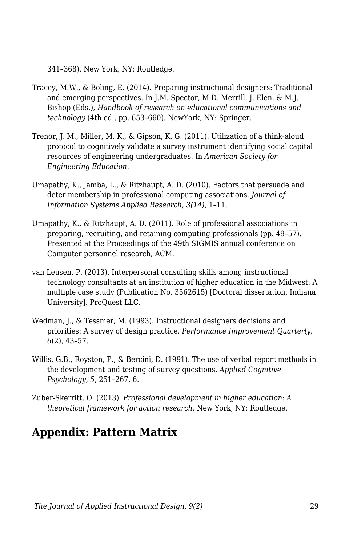341–368). New York, NY: Routledge.

- Tracey, M.W., & Boling, E. (2014). Preparing instructional designers: Traditional and emerging perspectives. In J.M. Spector, M.D. Merrill, J. Elen, & M.J. Bishop (Eds.), *Handbook of research on educational communications and technology* (4th ed., pp. 653–660). NewYork, NY: Springer.
- Trenor, J. M., Miller, M. K., & Gipson, K. G. (2011). Utilization of a think-aloud protocol to cognitively validate a survey instrument identifying social capital resources of engineering undergraduates. In *American Society for Engineering Education*.
- Umapathy, K., Jamba, L., & Ritzhaupt, A. D. (2010). Factors that persuade and deter membership in professional computing associations. *Journal of Information Systems Applied Research*, *3(14),* 1–11.
- Umapathy, K., & Ritzhaupt, A. D. (2011). Role of professional associations in preparing, recruiting, and retaining computing professionals (pp. 49–57). Presented at the Proceedings of the 49th SIGMIS annual conference on Computer personnel research, ACM.
- van Leusen, P. (2013). Interpersonal consulting skills among instructional technology consultants at an institution of higher education in the Midwest: A multiple case study (Publication No. 3562615) [Doctoral dissertation, Indiana University]. ProQuest LLC.
- Wedman, J., & Tessmer, M. (1993). Instructional designers decisions and priorities: A survey of design practice. *Performance Improvement Quarterly*, *6*(2), 43–57.
- Willis, G.B., Royston, P., & Bercini, D. (1991). The use of verbal report methods in the development and testing of survey questions. *Applied Cognitive Psychology*, *5*, 251–267. 6.
- Zuber-Skerritt, O. (2013). *Professional development in higher education: A theoretical framework for action research*. New York, NY: Routledge.

# **Appendix: Pattern Matrix**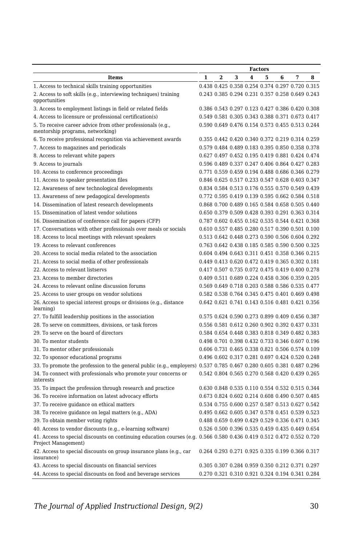|                                                                                                                                              | <b>Factors</b> |                         |   |   |   |   |                                                 |   |
|----------------------------------------------------------------------------------------------------------------------------------------------|----------------|-------------------------|---|---|---|---|-------------------------------------------------|---|
| <b>Items</b>                                                                                                                                 | $\mathbf{1}$   | $\overline{\mathbf{2}}$ | 3 | 4 | 5 | 6 | 7                                               | 8 |
| 1. Access to technical skills training opportunities                                                                                         |                |                         |   |   |   |   | 0.438 0.425 0.358 0.254 0.374 0.297 0.720 0.315 |   |
| 2. Access to soft skills (e.g., interviewing techniques) training<br>opportunities                                                           |                |                         |   |   |   |   | 0.243 0.385 0.294 0.231 0.357 0.258 0.649 0.243 |   |
| 3. Access to employment listings in field or related fields                                                                                  |                |                         |   |   |   |   | 0.386 0.543 0.297 0.123 0.427 0.386 0.420 0.308 |   |
| 4. Access to licensure or professional certification(s)                                                                                      |                |                         |   |   |   |   | 0.549 0.581 0.305 0.343 0.388 0.371 0.673 0.417 |   |
| 5. To receive career advice from other professionals (e.g.,<br>mentorship programs, networking)                                              |                |                         |   |   |   |   | 0.590 0.649 0.476 0.154 0.573 0.455 0.513 0.244 |   |
| 6. To receive professional recognition via achievement awards                                                                                |                |                         |   |   |   |   | 0.355 0.442 0.420 0.340 0.372 0.219 0.314 0.259 |   |
| 7. Access to magazines and periodicals                                                                                                       |                |                         |   |   |   |   | 0.579 0.484 0.489 0.183 0.395 0.850 0.358 0.378 |   |
| 8. Access to relevant white papers                                                                                                           |                |                         |   |   |   |   | 0.627 0.497 0.452 0.195 0.419 0.881 0.424 0.474 |   |
| 9. Access to journals                                                                                                                        |                |                         |   |   |   |   | 0.596 0.489 0.337 0.247 0.406 0.864 0.427 0.283 |   |
| 10. Access to conference proceedings                                                                                                         |                |                         |   |   |   |   | 0.771 0.559 0.459 0.194 0.488 0.686 0.346 0.279 |   |
| 11. Access to speaker presentation files                                                                                                     |                |                         |   |   |   |   | 0.846 0.625 0.517 0.233 0.547 0.628 0.403 0.347 |   |
| 12. Awareness of new technological developments                                                                                              |                |                         |   |   |   |   | 0.834 0.584 0.513 0.176 0.555 0.570 0.549 0.439 |   |
| 13. Awareness of new pedagogical developments                                                                                                |                |                         |   |   |   |   | 0.772 0.595 0.419 0.139 0.595 0.662 0.584 0.518 |   |
| 14. Dissemination of latest research developments                                                                                            |                |                         |   |   |   |   | 0.868 0.700 0.489 0.165 0.584 0.658 0.505 0.440 |   |
| 15. Dissemination of latest vendor solutions                                                                                                 |                |                         |   |   |   |   | 0.650 0.379 0.509 0.428 0.393 0.291 0.363 0.314 |   |
| 16. Dissemination of conference call for papers (CFP)                                                                                        |                |                         |   |   |   |   | 0.787 0.602 0.455 0.162 0.535 0.544 0.421 0.368 |   |
| 17. Conversations with other professionals over meals or socials                                                                             |                |                         |   |   |   |   | 0.610 0.557 0.485 0.280 0.517 0.390 0.501 0.100 |   |
| 18. Access to local meetings with relevant speakers                                                                                          |                |                         |   |   |   |   | 0.513 0.642 0.448 0.273 0.590 0.506 0.604 0.292 |   |
| 19. Access to relevant conferences                                                                                                           |                |                         |   |   |   |   | 0.763 0.642 0.438 0.185 0.585 0.590 0.500 0.325 |   |
| 20. Access to social media related to the association                                                                                        |                |                         |   |   |   |   | 0.604 0.494 0.643 0.311 0.451 0.358 0.346 0.215 |   |
| 21. Access to social media of other professionals                                                                                            |                |                         |   |   |   |   | 0.449 0.413 0.620 0.472 0.419 0.365 0.302 0.181 |   |
| 22. Access to relevant listservs                                                                                                             |                |                         |   |   |   |   | 0.417 0.507 0.735 0.072 0.475 0.419 0.400 0.278 |   |
| 23. Access to member directories                                                                                                             |                |                         |   |   |   |   | 0.409 0.511 0.689 0.224 0.458 0.306 0.359 0.205 |   |
| 24. Access to relevant online discussion forums                                                                                              |                |                         |   |   |   |   | 0.569 0.649 0.718 0.203 0.588 0.586 0.535 0.477 |   |
|                                                                                                                                              |                |                         |   |   |   |   | 0.582 0.538 0.764 0.345 0.475 0.401 0.469 0.498 |   |
| 25. Access to user groups on vendor solutions                                                                                                |                |                         |   |   |   |   | 0.642 0.621 0.741 0.143 0.516 0.481 0.421 0.356 |   |
| 26. Access to special interest groups or divisions (e.g., distance<br>learning)                                                              |                |                         |   |   |   |   |                                                 |   |
| 27. To fulfill leadership positions in the association                                                                                       |                |                         |   |   |   |   | 0.575 0.624 0.590 0.273 0.899 0.409 0.456 0.387 |   |
| 28. To serve on committees, divisions, or task forces                                                                                        |                |                         |   |   |   |   | 0.556 0.581 0.612 0.260 0.902 0.392 0.437 0.331 |   |
| 29. To serve on the board of directors                                                                                                       |                |                         |   |   |   |   | 0.584 0.654 0.448 0.383 0.818 0.349 0.482 0.383 |   |
| 30. To mentor students                                                                                                                       |                |                         |   |   |   |   | 0.498 0.701 0.398 0.432 0.733 0.346 0.607 0.196 |   |
| 31. To mentor other professionals                                                                                                            |                |                         |   |   |   |   | 0.606 0.731 0.465 0.338 0.821 0.506 0.574 0.109 |   |
| 32. To sponsor educational programs                                                                                                          |                |                         |   |   |   |   | 0.496 0.602 0.317 0.281 0.697 0.424 0.520 0.248 |   |
| 33. To promote the profession to the general public (e.g., employers) 0.537 0.785 0.467 0.280 0.605 0.381 0.487 0.296                        |                |                         |   |   |   |   |                                                 |   |
| 34. To connect with professionals who promote your concerns or<br>interests                                                                  |                |                         |   |   |   |   | 0.542 0.804 0.565 0.270 0.568 0.420 0.439 0.265 |   |
| 35. To impact the profession through research and practice                                                                                   |                |                         |   |   |   |   | 0.630 0.848 0.535 0.110 0.554 0.532 0.515 0.344 |   |
| 36. To receive information on latest advocacy efforts                                                                                        |                |                         |   |   |   |   | 0.673 0.824 0.602 0.214 0.608 0.490 0.507 0.485 |   |
| 37. To receive guidance on ethical matters                                                                                                   |                |                         |   |   |   |   | 0.534 0.755 0.600 0.257 0.587 0.513 0.627 0.542 |   |
| 38. To receive guidance on legal matters (e.g., ADA)                                                                                         |                |                         |   |   |   |   | 0.495 0.662 0.605 0.347 0.578 0.451 0.539 0.523 |   |
| 39. To obtain member voting rights                                                                                                           |                |                         |   |   |   |   | 0.488 0.659 0.499 0.429 0.529 0.336 0.471 0.345 |   |
| 40. Access to vendor discounts (e.g., e-learning software)                                                                                   |                |                         |   |   |   |   | 0.526 0.500 0.396 0.535 0.459 0.435 0.449 0.654 |   |
| 41. Access to special discounts on continuing education courses (e.g. 0.566 0.580 0.436 0.419 0.512 0.472 0.552 0.720<br>Project Management) |                |                         |   |   |   |   |                                                 |   |
| 42. Access to special discounts on group insurance plans (e.g., car<br>insurance)                                                            |                |                         |   |   |   |   | 0.264 0.293 0.271 0.925 0.335 0.199 0.366 0.317 |   |
| 43. Access to special discounts on financial services                                                                                        |                |                         |   |   |   |   | 0.305 0.307 0.284 0.959 0.350 0.212 0.371 0.297 |   |
| 44. Access to special discounts on food and beverage services                                                                                |                |                         |   |   |   |   | 0.270 0.321 0.310 0.921 0.324 0.194 0.341 0.284 |   |

*The Journal of Applied Instructional Design, 9(2)* 30